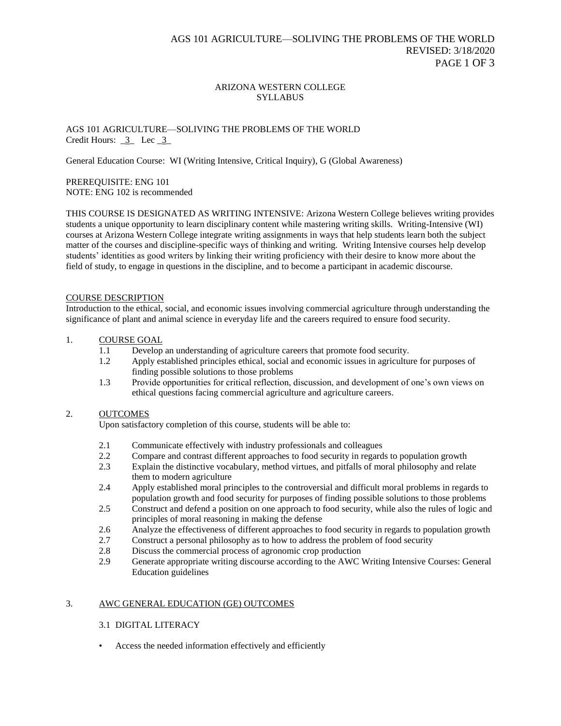### ARIZONA WESTERN COLLEGE **SYLLABUS**

## AGS 101 AGRICULTURE—SOLIVING THE PROBLEMS OF THE WORLD Credit Hours:  $\frac{3}{2}$  Lec  $\frac{3}{2}$

General Education Course: WI (Writing Intensive, Critical Inquiry), G (Global Awareness)

### PREREQUISITE: ENG 101 NOTE: ENG 102 is recommended

THIS COURSE IS DESIGNATED AS WRITING INTENSIVE: Arizona Western College believes writing provides students a unique opportunity to learn disciplinary content while mastering writing skills. Writing-Intensive (WI) courses at Arizona Western College integrate writing assignments in ways that help students learn both the subject matter of the courses and discipline-specific ways of thinking and writing. Writing Intensive courses help develop students' identities as good writers by linking their writing proficiency with their desire to know more about the field of study, to engage in questions in the discipline, and to become a participant in academic discourse.

#### COURSE DESCRIPTION

Introduction to the ethical, social, and economic issues involving commercial agriculture through understanding the significance of plant and animal science in everyday life and the careers required to ensure food security.

# 1. COURSE GOAL

- 1.1 Develop an understanding of agriculture careers that promote food security.
- 1.2 Apply established principles ethical, social and economic issues in agriculture for purposes of finding possible solutions to those problems
- 1.3 Provide opportunities for critical reflection, discussion, and development of one's own views on ethical questions facing commercial agriculture and agriculture careers.

## 2. OUTCOMES

Upon satisfactory completion of this course, students will be able to:

- 2.1 Communicate effectively with industry professionals and colleagues
- 2.2 Compare and contrast different approaches to food security in regards to population growth
- 2.3 Explain the distinctive vocabulary, method virtues, and pitfalls of moral philosophy and relate them to modern agriculture
- 2.4 Apply established moral principles to the controversial and difficult moral problems in regards to population growth and food security for purposes of finding possible solutions to those problems
- 2.5 Construct and defend a position on one approach to food security, while also the rules of logic and principles of moral reasoning in making the defense
- 2.6 Analyze the effectiveness of different approaches to food security in regards to population growth
- 2.7 Construct a personal philosophy as to how to address the problem of food security
- 2.8 Discuss the commercial process of agronomic crop production
- 2.9 Generate appropriate writing discourse according to the AWC Writing Intensive Courses: General Education guidelines

## 3. AWC GENERAL EDUCATION (GE) OUTCOMES

## 3.1 DIGITAL LITERACY

• Access the needed information effectively and efficiently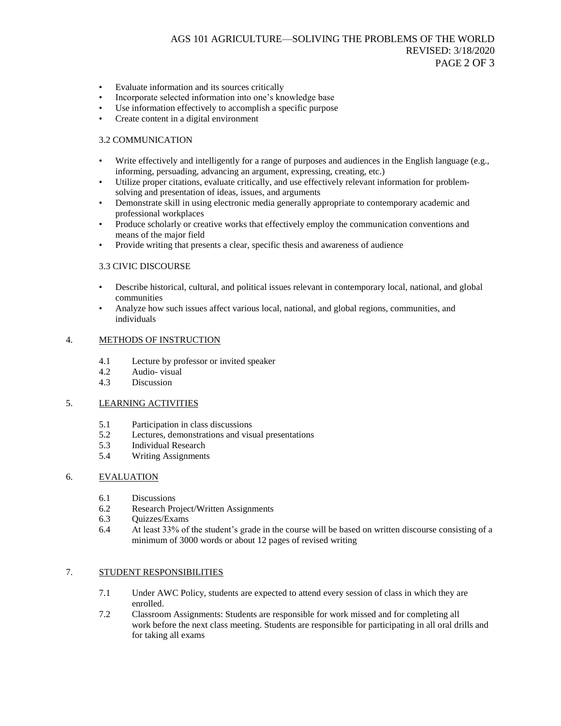- Evaluate information and its sources critically
- Incorporate selected information into one's knowledge base
- Use information effectively to accomplish a specific purpose
- Create content in a digital environment

#### 3.2 COMMUNICATION

- Write effectively and intelligently for a range of purposes and audiences in the English language (e.g., informing, persuading, advancing an argument, expressing, creating, etc.)
- Utilize proper citations, evaluate critically, and use effectively relevant information for problemsolving and presentation of ideas, issues, and arguments
- Demonstrate skill in using electronic media generally appropriate to contemporary academic and professional workplaces
- Produce scholarly or creative works that effectively employ the communication conventions and means of the major field
- Provide writing that presents a clear, specific thesis and awareness of audience

#### 3.3 CIVIC DISCOURSE

- Describe historical, cultural, and political issues relevant in contemporary local, national, and global communities
- Analyze how such issues affect various local, national, and global regions, communities, and individuals

#### 4. METHODS OF INSTRUCTION

- 4.1 Lecture by professor or invited speaker
- 4.2 Audio- visual
- 4.3 Discussion

## 5. LEARNING ACTIVITIES

- 5.1 Participation in class discussions<br>5.2 Lectures, demonstrations and vis
- Lectures, demonstrations and visual presentations
- 5.3 Individual Research
- 5.4 Writing Assignments

## 6. EVALUATION

- 6.1 Discussions
- 6.2 Research Project/Written Assignments
- 6.3 Quizzes/Exams
- 6.4 At least 33% of the student's grade in the course will be based on written discourse consisting of a minimum of 3000 words or about 12 pages of revised writing

#### 7. STUDENT RESPONSIBILITIES

- 7.1 Under AWC Policy, students are expected to attend every session of class in which they are enrolled.
- 7.2 Classroom Assignments: Students are responsible for work missed and for completing all work before the next class meeting. Students are responsible for participating in all oral drills and for taking all exams